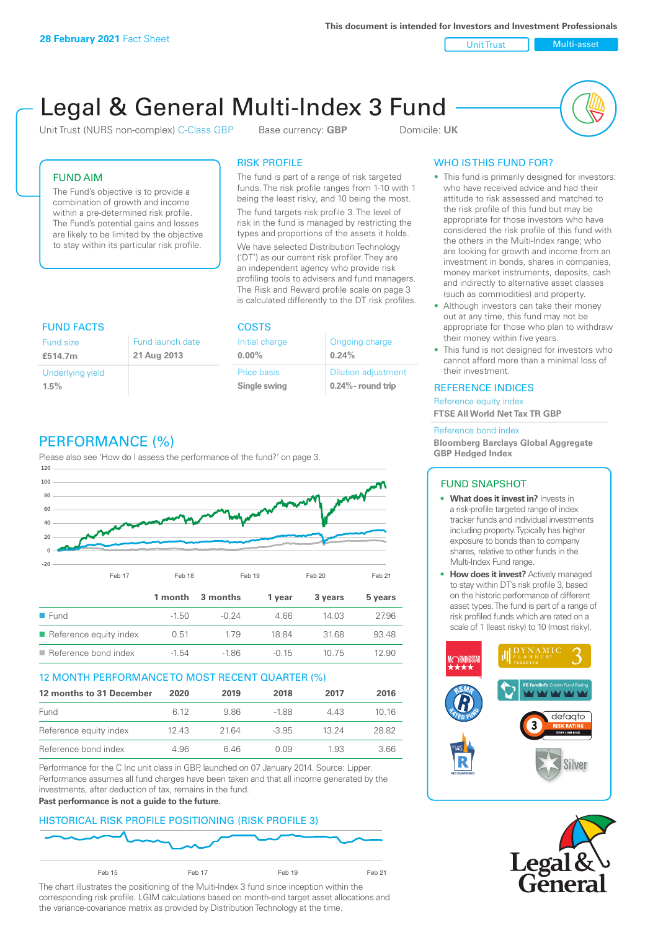**This document is intended for Investors and Investment Professionals**

Unit Trust Nulti-asset

# Legal & General Multi-Index 3 Fund

Unit Trust (NURS non-complex) C-Class GBP Base currency: **GBP** Domicile: UK



## FUND AIM

The Fund's objective is to provide a combination of growth and income within a pre-determined risk profile. The Fund's potential gains and losses are likely to be limited by the objective to stay within its particular risk profile.

## RISK PROFILE

The fund is part of a range of risk targeted funds. The risk profile ranges from 1-10 with 1 being the least risky, and 10 being the most.

The fund targets risk profile 3. The level of risk in the fund is managed by restricting the types and proportions of the assets it holds. We have selected Distribution Technology ('DT') as our current risk profiler. They are an independent agency who provide risk profiling tools to advisers and fund managers. The Risk and Reward profile scale on page 3 is calculated differently to the DT risk profiles.

| <b>FUND FACTS</b> |                  | <b>COSTS</b>   |                            |  |
|-------------------|------------------|----------------|----------------------------|--|
| <b>Fund size</b>  | Fund launch date | Initial charge | Ongoing charge             |  |
| £514.7m           | 21 Aug 2013      | $0.00\%$       | 0.24%                      |  |
| Underlying yield  |                  | Price basis    | <b>Dilution adjustment</b> |  |
| 1.5%              |                  | Single swing   | $0.24\%$ - round trip      |  |

# PERFORMANCE (%)

Please also see 'How do I assess the performance of the fund?' on page 3.



#### 12 MONTH PERFORMANCE TO MOST RECENT QUARTER (%)

| 12 months to 31 December | 2020 | 2019  | 2018    | 2017  | 2016  |
|--------------------------|------|-------|---------|-------|-------|
| Fund                     | 6.12 | 986   | -188    | 4 4 3 | 10 16 |
| Reference equity index   | 1243 | 21.64 | $-3.95$ | 13 24 | 28.82 |
| Reference bond index     | 4.96 | 646   | O O.9   | 1.93  | 3.66  |

Performance for the C Inc unit class in GBP, launched on 07 January 2014. Source: Lipper. Performance assumes all fund charges have been taken and that all income generated by the investments, after deduction of tax, remains in the fund.

#### **Past performance is not a guide to the future.**

## HISTORICAL RISK PROFILE POSITIONING (RISK PROFILE 3)



The chart illustrates the positioning of the Multi-Index 3 fund since inception within the corresponding risk profile. LGIM calculations based on month-end target asset allocations and the variance-covariance matrix as provided by Distribution Technology at the time.

# WHO IS THIS FUND FOR?

- This fund is primarily designed for investors: who have received advice and had their attitude to risk assessed and matched to the risk profile of this fund but may be appropriate for those investors who have considered the risk profile of this fund with the others in the Multi-Index range; who are looking for growth and income from an investment in bonds, shares in companies, money market instruments, deposits, cash and indirectly to alternative asset classes (such as commodities) and property.
- Although investors can take their money out at any time, this fund may not be appropriate for those who plan to withdraw their money within five years.
- This fund is not designed for investors who cannot afford more than a minimal loss of their investment.

#### REFERENCE INDICES

Reference equity index **FTSE All World Net Tax TR GBP**

#### Reference bond index

**Bloomberg Barclays Global Aggregate GBP Hedged Index**

#### FUND SNAPSHOT

- **• What does it invest in?** Invests in a risk-profile targeted range of index tracker funds and individual investments including property. Typically has higher exposure to bonds than to company shares, relative to other funds in the Multi-Index Fund range.
- **• How does it invest?** Actively managed to stay within DT's risk profile 3, based on the historic performance of different asset types. The fund is part of a range of risk profiled funds which are rated on a scale of 1 (least risky) to 10 (most risky).



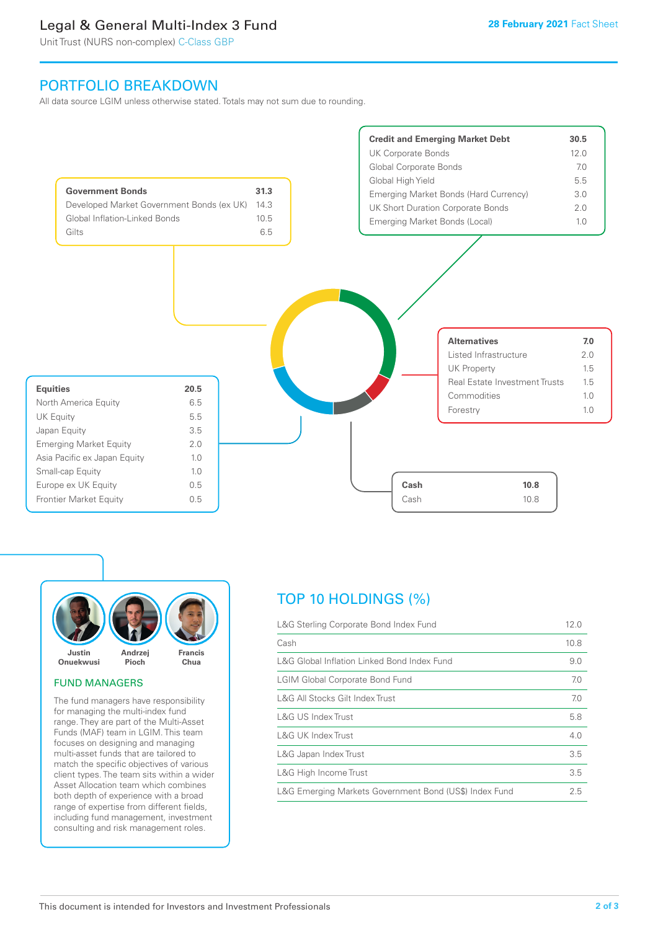# Legal & General Multi-Index 3 Fund

Unit Trust (NURS non-complex) C-Class GBP

# PORTFOLIO BREAKDOWN

All data source LGIM unless otherwise stated. Totals may not sum due to rounding.





#### FUND MANAGERS

The fund managers have responsibility for managing the multi-index fund range. They are part of the Multi-Asset Funds (MAF) team in LGIM. This team focuses on designing and managing multi-asset funds that are tailored to match the specific objectives of various client types. The team sits within a wider Asset Allocation team which combines both depth of experience with a broad range of expertise from different fields, including fund management, investment consulting and risk management roles.

# TOP 10 HOLDINGS (%)

| L&G Sterling Corporate Bond Index Fund                 | 12.0 |
|--------------------------------------------------------|------|
| Cash                                                   | 10.8 |
| L&G Global Inflation Linked Bond Index Fund            | 9.0  |
| <b>LGIM Global Corporate Bond Fund</b>                 | 7.0  |
| L&G All Stocks Gilt Index Trust                        | 7.0  |
| L&G US Index Trust                                     | 5.8  |
| <b>L&amp;G UK Index Trust</b>                          | 4.0  |
| L&G Japan Index Trust                                  | 3.5  |
| L&G High Income Trust                                  | 3.5  |
| L&G Emerging Markets Government Bond (US\$) Index Fund | 2.5  |